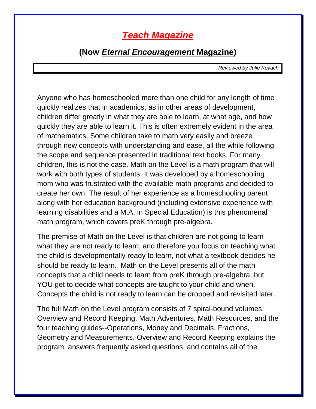## **Teach Magazine**

## **(Now Eternal Encouragement Magazine)**

Reviewed by Julie Kovach

Anyone who has homeschooled more than one child for any length of time quickly realizes that in academics, as in other areas of development, children differ greatly in what they are able to learn, at what age, and how quickly they are able to learn it. This is often extremely evident in the area of mathematics. Some children take to math very easily and breeze through new concepts with understanding and ease, all the while following the scope and sequence presented in traditional text books. For many children, this is not the case. Math on the Level is a math program that will work with both types of students. It was developed by a homeschooling mom who was frustrated with the available math programs and decided to create her own. The result of her experience as a homeschooling parent along with her education background (including extensive experience with learning disabilities and a M.A. in Special Education) is this phenomenal math program, which covers preK through pre-algebra.

The premise of Math on the Level is that children are not going to learn what they are not ready to learn, and therefore you focus on teaching what the child is developmentally ready to learn, not what a textbook decides he should be ready to learn. Math on the Level presents all of the math concepts that a child needs to learn from preK through pre-algebra, but YOU get to decide what concepts are taught to your child and when. Concepts the child is not ready to learn can be dropped and revisited later.

The full Math on the Level program consists of 7 spiral-bound volumes: Overview and Record Keeping, Math Adventures, Math Resources, and the four teaching guides--Operations, Money and Decimals, Fractions, Geometry and Measurements. Overview and Record Keeping explains the program, answers frequently asked questions, and contains all of the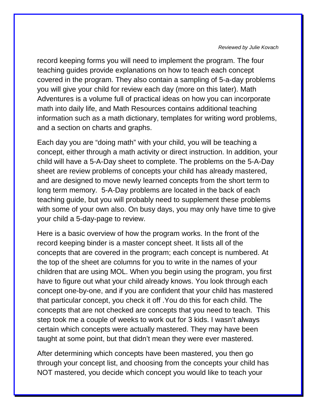## Reviewed by Julie Kovach

record keeping forms you will need to implement the program. The four teaching guides provide explanations on how to teach each concept covered in the program. They also contain a sampling of 5-a-day problems you will give your child for review each day (more on this later). Math Adventures is a volume full of practical ideas on how you can incorporate math into daily life, and Math Resources contains additional teaching information such as a math dictionary, templates for writing word problems, and a section on charts and graphs.

Each day you are "doing math" with your child, you will be teaching a concept, either through a math activity or direct instruction. In addition, your child will have a 5-A-Day sheet to complete. The problems on the 5-A-Day sheet are review problems of concepts your child has already mastered, and are designed to move newly learned concepts from the short term to long term memory. 5-A-Day problems are located in the back of each teaching guide, but you will probably need to supplement these problems with some of your own also. On busy days, you may only have time to give your child a 5-day-page to review.

Here is a basic overview of how the program works. In the front of the record keeping binder is a master concept sheet. It lists all of the concepts that are covered in the program; each concept is numbered. At the top of the sheet are columns for you to write in the names of your children that are using MOL. When you begin using the program, you first have to figure out what your child already knows. You look through each concept one-by-one, and if you are confident that your child has mastered that particular concept, you check it off .You do this for each child. The concepts that are not checked are concepts that you need to teach. This step took me a couple of weeks to work out for 3 kids. I wasn't always certain which concepts were actually mastered. They may have been taught at some point, but that didn't mean they were ever mastered.

After determining which concepts have been mastered, you then go through your concept list, and choosing from the concepts your child has NOT mastered, you decide which concept you would like to teach your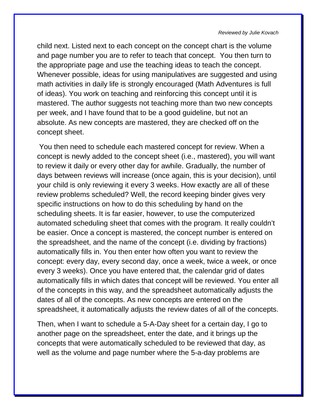## Reviewed by Julie Kovach

child next. Listed next to each concept on the concept chart is the volume and page number you are to refer to teach that concept. You then turn to the appropriate page and use the teaching ideas to teach the concept. Whenever possible, ideas for using manipulatives are suggested and using math activities in daily life is strongly encouraged (Math Adventures is full of ideas). You work on teaching and reinforcing this concept until it is mastered. The author suggests not teaching more than two new concepts per week, and I have found that to be a good guideline, but not an absolute. As new concepts are mastered, they are checked off on the concept sheet.

 You then need to schedule each mastered concept for review. When a concept is newly added to the concept sheet (i.e., mastered), you will want to review it daily or every other day for awhile. Gradually, the number of days between reviews will increase (once again, this is your decision), until your child is only reviewing it every 3 weeks. How exactly are all of these review problems scheduled? Well, the record keeping binder gives very specific instructions on how to do this scheduling by hand on the scheduling sheets. It is far easier, however, to use the computerized automated scheduling sheet that comes with the program. It really couldn't be easier. Once a concept is mastered, the concept number is entered on the spreadsheet, and the name of the concept (i.e. dividing by fractions) automatically fills in. You then enter how often you want to review the concept: every day, every second day, once a week, twice a week, or once every 3 weeks). Once you have entered that, the calendar grid of dates automatically fills in which dates that concept will be reviewed. You enter all of the concepts in this way, and the spreadsheet automatically adjusts the dates of all of the concepts. As new concepts are entered on the spreadsheet, it automatically adjusts the review dates of all of the concepts.

Then, when I want to schedule a 5-A-Day sheet for a certain day, I go to another page on the spreadsheet, enter the date, and it brings up the concepts that were automatically scheduled to be reviewed that day, as well as the volume and page number where the 5-a-day problems are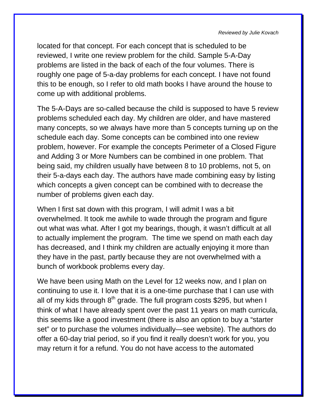located for that concept. For each concept that is scheduled to be reviewed, I write one review problem for the child. Sample 5-A-Day problems are listed in the back of each of the four volumes. There is roughly one page of 5-a-day problems for each concept. I have not found this to be enough, so I refer to old math books I have around the house to come up with additional problems.

The 5-A-Days are so-called because the child is supposed to have 5 review problems scheduled each day. My children are older, and have mastered many concepts, so we always have more than 5 concepts turning up on the schedule each day. Some concepts can be combined into one review problem, however. For example the concepts Perimeter of a Closed Figure and Adding 3 or More Numbers can be combined in one problem. That being said, my children usually have between 8 to 10 problems, not 5, on their 5-a-days each day. The authors have made combining easy by listing which concepts a given concept can be combined with to decrease the number of problems given each day.

When I first sat down with this program, I will admit I was a bit overwhelmed. It took me awhile to wade through the program and figure out what was what. After I got my bearings, though, it wasn't difficult at all to actually implement the program. The time we spend on math each day has decreased, and I think my children are actually enjoying it more than they have in the past, partly because they are not overwhelmed with a bunch of workbook problems every day.

We have been using Math on the Level for 12 weeks now, and I plan on continuing to use it. I love that it is a one-time purchase that I can use with all of my kids through  $8<sup>th</sup>$  grade. The full program costs \$295, but when I think of what I have already spent over the past 11 years on math curricula, this seems like a good investment (there is also an option to buy a "starter set" or to purchase the volumes individually—see website). The authors do offer a 60-day trial period, so if you find it really doesn't work for you, you may return it for a refund. You do not have access to the automated